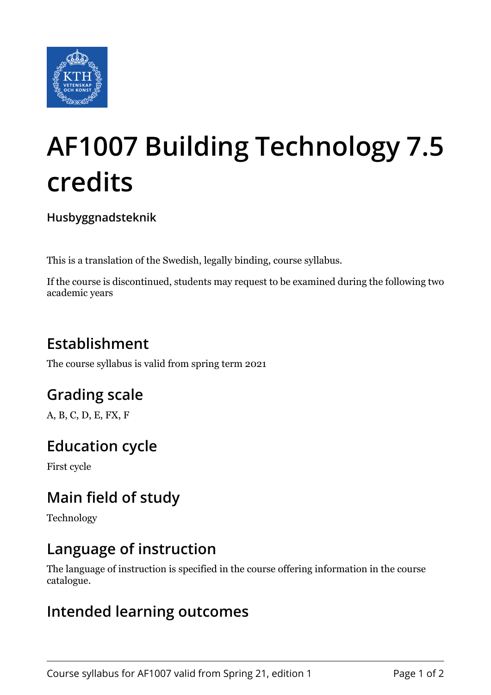

# **AF1007 Building Technology 7.5 credits**

**Husbyggnadsteknik**

This is a translation of the Swedish, legally binding, course syllabus.

If the course is discontinued, students may request to be examined during the following two academic years

## **Establishment**

The course syllabus is valid from spring term 2021

## **Grading scale**

A, B, C, D, E, FX, F

## **Education cycle**

First cycle

## **Main field of study**

Technology

#### **Language of instruction**

The language of instruction is specified in the course offering information in the course catalogue.

#### **Intended learning outcomes**